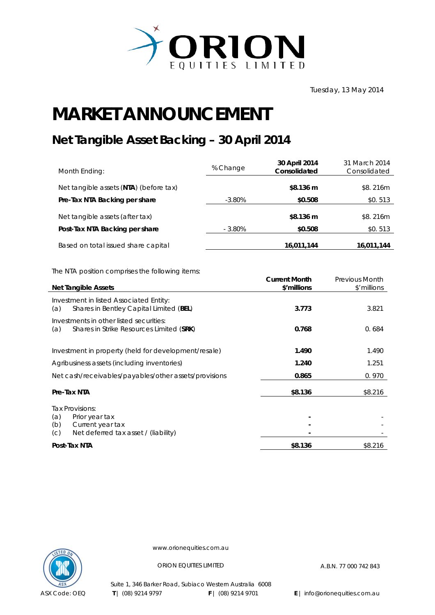

Tuesday, 13 May 2014

## **MARKET ANNOUNCEMENT**

## **Net Tangible Asset Backing – 30 April 2014**

| Month Ending:                          | % Change  | 30 April 2014<br>Consolidated | 31 March 2014<br>Consolidated |
|----------------------------------------|-----------|-------------------------------|-------------------------------|
| Net tangible assets (NTA) (before tax) |           | \$8.136 m                     | \$8.216m                      |
| Pre-Tax NTA Backing per share          | $-3.80\%$ | \$0.508                       | \$0.513                       |
| Net tangible assets (after tax)        |           | \$8.136 m                     | \$8.216m                      |
| Post-Tax NTA Backing per share         | $-3.80\%$ | \$0.508                       | \$0.513                       |
| Based on total issued share capital    |           | 16,011,144                    | 16,011,144                    |

The NTA position comprises the following items:

| <b>Net Tangible Assets</b>                                                                                         | <b>Current Month</b><br>\$'millions | <b>Previous Month</b><br>\$'millions |
|--------------------------------------------------------------------------------------------------------------------|-------------------------------------|--------------------------------------|
| Investment in listed Associated Entity:<br>Shares in Bentley Capital Limited (BEL)<br>(a)                          | 3.773                               | 3.821                                |
| Investments in other listed securities:<br>Shares in Strike Resources Limited (SRK)<br>(a)                         | 0.768                               | 0.684                                |
| Investment in property (held for development/resale)                                                               | 1.490                               | 1.490                                |
| Agribusiness assets (including inventories)                                                                        | 1.240                               | 1.251                                |
| Net cash/receivables/payables/other assets/provisions                                                              | 0.865                               | 0.970                                |
| Pre-Tax NTA                                                                                                        | \$8.136                             | \$8.216                              |
| Tax Provisions:<br>(a)<br>Prior year tax<br>(b)<br>Current year tax<br>Net deferred tax asset / (liability)<br>(C) |                                     |                                      |
| Post-Tax NTA                                                                                                       | \$8.136                             | \$8.216                              |



www.orionequities.com.au

ORION EQUITIES LIMITED A.B.N. 77 000 742 843

Suite 1, 346 Barker Road, Subiaco Western Australia 6008  **T** | (08) 9214 9797 **F** | (08) 9214 9701 **E** | info@orionequities.com.au